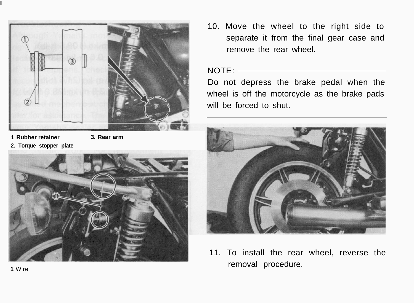

**1. Rubber retainer 3. Rear arm**



10. Move the wheel to the right side to separate it from the final gear case and remove the rear wheel

#### NOTE:

Do not depress the brake pedal when the wheel is off the motorcycle as the brake pads will be forced to shut.



11. To install the rear wheel, reverse the removal procedure.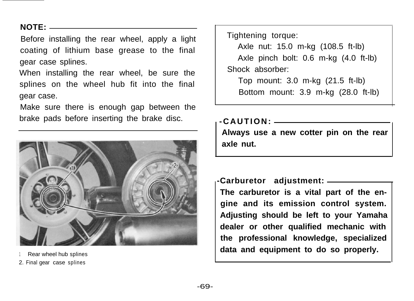## **NOTE:**

Before installing the rear wheel, apply a light coating of lithium base grease to the final gear case splines.

When installing the rear wheel, be sure the splines on the wheel hub fit into the final gear case.

Make sure there is enough gap between the brake pads before inserting the brake disc.



- Rear wheel hub splines
- 2. Final gear case splines

Tightening torque:

Axle nut: 15.0 m-kg (108.5 ft-lb) Axle pinch bolt: 0.6 m-kg (4.0 ft-lb) Shock absorber:

Top mount: 3.0 m-kg (21.5 ft-lb) Bottom mount: 3.9 m-kg (28.0 ft-lb)

#### **-CAUTION:**

**Always use a new cotter pin on the rear axle nut.**

**-Carburetor adjustment: The carburetor is a vital part of the engine and its emission control system. Adjusting should be left to your Yamaha dealer or other qualified mechanic with the professional knowledge, specialized data and equipment to do so properly.**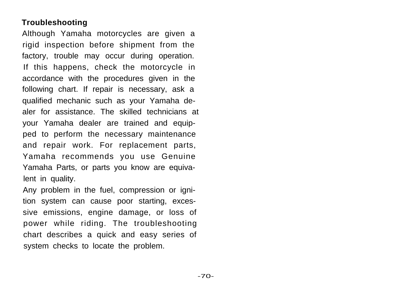# **Troubleshooting**

Although Yamaha motorcycles are given a rigid inspection before shipment from the factory, trouble may occur during operation. If this happens, check the motorcycle in accordance with the procedures given in the following chart. If repair is necessary, ask a qualified mechanic such as your Yamaha dealer for assistance. The skilled technicians at your Yamaha dealer are trained and equipped to perform the necessary maintenance and repair work. For replacement parts, Yamaha recommends you use Genuine Yamaha Parts, or parts you know are equivalent in quality.

Any problem in the fuel, compression or ignition system can cause poor starting, excessive emissions, engine damage, or loss of power while riding. The troubleshooting chart describes a quick and easy series of system checks to locate the problem.